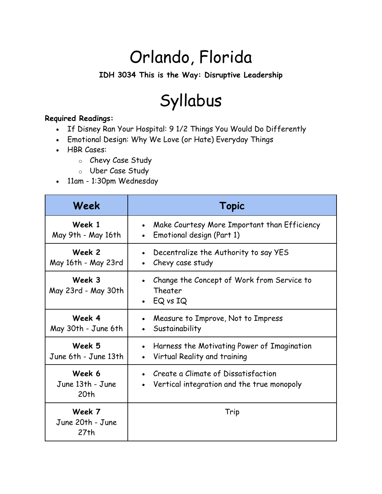## Orlando, Florida

**IDH 3034 This is the Way: Disruptive Leadership**

## Syllabus

## **Required Readings:**

- If Disney Ran Your Hospital: 9 1/2 Things You Would Do Differently
- Emotional Design: Why We Love (or Hate) Everyday Things
- HBR Cases:
	- o Chevy Case Study
	- o Uber Case Study
- 11am 1:30pm Wednesday

| Week                               | <b>Topic</b>                                                                                          |
|------------------------------------|-------------------------------------------------------------------------------------------------------|
| Week 1<br>May 9th - May 16th       | Make Courtesy More Important than Efficiency<br>$\bullet$<br>Emotional design (Part 1)<br>$\bullet$   |
| Week 2<br>May 16th - May 23rd      | Decentralize the Authority to say YES<br>Chevy case study                                             |
| Week 3<br>May 23rd - May 30th      | Change the Concept of Work from Service to<br>Theater<br>EQ vs IQ<br>$\bullet$                        |
| Week 4<br>May 30th - June 6th      | Measure to Improve, Not to Impress<br>Sustainability                                                  |
| Week 5<br>June 6th - June 13th     | Harness the Motivating Power of Imagination<br>$\bullet$<br>Virtual Reality and training<br>$\bullet$ |
| Week 6<br>June 13th - June<br>20th | Create a Climate of Dissatisfaction<br>$\bullet$<br>Vertical integration and the true monopoly        |
| Week 7<br>June 20th - June<br>27th | Trip                                                                                                  |